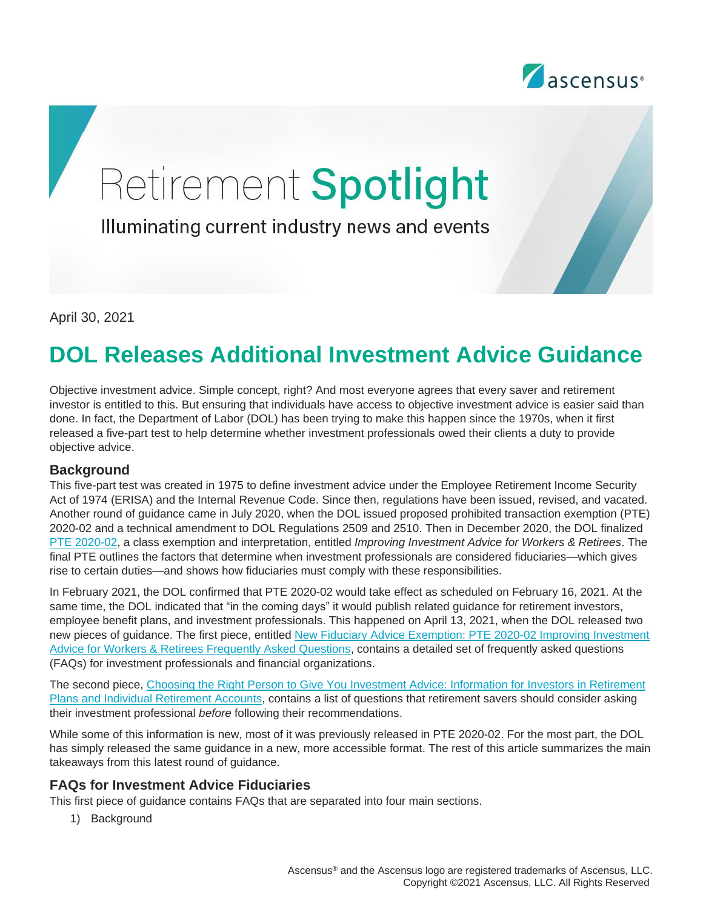

# Retirement Spotlight

Illuminating current industry news and events

April 30, 2021

# **DOL Releases Additional Investment Advice Guidance**

Objective investment advice. Simple concept, right? And most everyone agrees that every saver and retirement investor is entitled to this. But ensuring that individuals have access to objective investment advice is easier said than done. In fact, the Department of Labor (DOL) has been trying to make this happen since the 1970s, when it first released a five-part test to help determine whether investment professionals owed their clients a duty to provide objective advice.

#### **Background**

This five-part test was created in 1975 to define investment advice under the Employee Retirement Income Security Act of 1974 (ERISA) and the Internal Revenue Code. Since then, regulations have been issued, revised, and vacated. Another round of guidance came in July 2020, when the DOL issued proposed prohibited transaction exemption (PTE) 2020-02 and a technical amendment to DOL Regulations 2509 and 2510. Then in December 2020, the DOL finalized [PTE 2020-02,](https://www.federalregister.gov/documents/2020/12/18/2020-27825/prohibited-transaction-exemption-2020-02-improving-investment-advice-for-workers-and-retirees) a class exemption and interpretation, entitled *Improving Investment Advice for Workers & Retirees*. The final PTE outlines the factors that determine when investment professionals are considered fiduciaries—which gives rise to certain duties—and shows how fiduciaries must comply with these responsibilities.

In February 2021, the DOL confirmed that PTE 2020-02 would take effect as scheduled on February 16, 2021. At the same time, the DOL indicated that "in the coming days" it would publish related guidance for retirement investors, employee benefit plans, and investment professionals. This happened on April 13, 2021, when the DOL released two new pieces of guidance. The first piece, entitled [New Fiduciary Advice Exemption: PTE 2020-02 Improving Investment](https://www.dol.gov/agencies/ebsa/about-ebsa/our-activities/resource-center/faqs/new-fiduciary-advice-exemption)  [Advice for Workers & Retirees Frequently Asked Questions,](https://www.dol.gov/agencies/ebsa/about-ebsa/our-activities/resource-center/faqs/new-fiduciary-advice-exemption) contains a detailed set of frequently asked questions (FAQs) for investment professionals and financial organizations.

The second piece, [Choosing the Right Person to Give You Investment Advice: Information for Investors in Retirement](https://www.dol.gov/agencies/ebsa/about-ebsa/our-activities/resource-center/faqs/choosing-the-right-person-to-give-you-investment-advice)  [Plans and Individual Retirement Accounts,](https://www.dol.gov/agencies/ebsa/about-ebsa/our-activities/resource-center/faqs/choosing-the-right-person-to-give-you-investment-advice) contains a list of questions that retirement savers should consider asking their investment professional *before* following their recommendations.

While some of this information is new, most of it was previously released in PTE 2020-02. For the most part, the DOL has simply released the same guidance in a new, more accessible format. The rest of this article summarizes the main takeaways from this latest round of guidance.

## **FAQs for Investment Advice Fiduciaries**

This first piece of guidance contains FAQs that are separated into four main sections.

1) Background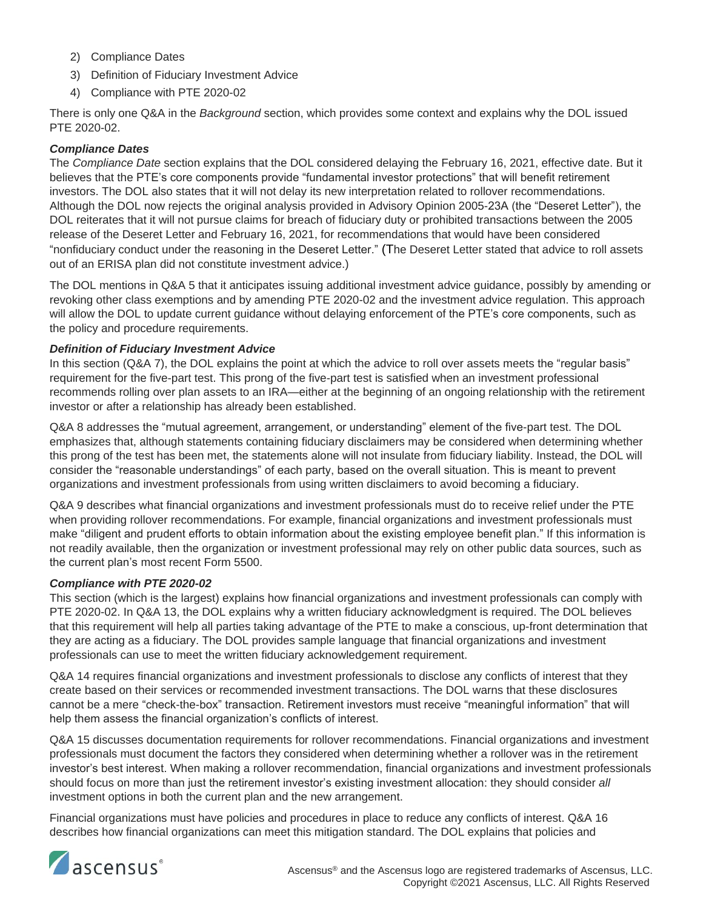- 2) Compliance Dates
- 3) Definition of Fiduciary Investment Advice
- 4) Compliance with PTE 2020-02

There is only one Q&A in the *Background* section, which provides some context and explains why the DOL issued PTE 2020-02.

#### *Compliance Dates*

The *Compliance Date* section explains that the DOL considered delaying the February 16, 2021, effective date. But it believes that the PTE's core components provide "fundamental investor protections" that will benefit retirement investors. The DOL also states that it will not delay its new interpretation related to rollover recommendations. Although the DOL now rejects the original analysis provided in Advisory Opinion 2005-23A (the "Deseret Letter"), the DOL reiterates that it will not pursue claims for breach of fiduciary duty or prohibited transactions between the 2005 release of the Deseret Letter and February 16, 2021, for recommendations that would have been considered "nonfiduciary conduct under the reasoning in the Deseret Letter." (The Deseret Letter stated that advice to roll assets out of an ERISA plan did not constitute investment advice.)

The DOL mentions in Q&A 5 that it anticipates issuing additional investment advice guidance, possibly by amending or revoking other class exemptions and by amending PTE 2020-02 and the investment advice regulation. This approach will allow the DOL to update current guidance without delaying enforcement of the PTE's core components, such as the policy and procedure requirements.

#### *Definition of Fiduciary Investment Advice*

In this section (Q&A 7), the DOL explains the point at which the advice to roll over assets meets the "regular basis" requirement for the five-part test. This prong of the five-part test is satisfied when an investment professional recommends rolling over plan assets to an IRA—either at the beginning of an ongoing relationship with the retirement investor or after a relationship has already been established.

Q&A 8 addresses the "mutual agreement, arrangement, or understanding" element of the five-part test. The DOL emphasizes that, although statements containing fiduciary disclaimers may be considered when determining whether this prong of the test has been met, the statements alone will not insulate from fiduciary liability. Instead, the DOL will consider the "reasonable understandings" of each party, based on the overall situation. This is meant to prevent organizations and investment professionals from using written disclaimers to avoid becoming a fiduciary.

Q&A 9 describes what financial organizations and investment professionals must do to receive relief under the PTE when providing rollover recommendations. For example, financial organizations and investment professionals must make "diligent and prudent efforts to obtain information about the existing employee benefit plan." If this information is not readily available, then the organization or investment professional may rely on other public data sources, such as the current plan's most recent Form 5500.

#### *Compliance with PTE 2020-02*

This section (which is the largest) explains how financial organizations and investment professionals can comply with PTE 2020-02. In Q&A 13, the DOL explains why a written fiduciary acknowledgment is required. The DOL believes that this requirement will help all parties taking advantage of the PTE to make a conscious, up-front determination that they are acting as a fiduciary. The DOL provides sample language that financial organizations and investment professionals can use to meet the written fiduciary acknowledgement requirement.

Q&A 14 requires financial organizations and investment professionals to disclose any conflicts of interest that they create based on their services or recommended investment transactions. The DOL warns that these disclosures cannot be a mere "check-the-box" transaction. Retirement investors must receive "meaningful information" that will help them assess the financial organization's conflicts of interest.

Q&A 15 discusses documentation requirements for rollover recommendations. Financial organizations and investment professionals must document the factors they considered when determining whether a rollover was in the retirement investor's best interest. When making a rollover recommendation, financial organizations and investment professionals should focus on more than just the retirement investor's existing investment allocation: they should consider *all* investment options in both the current plan and the new arrangement.

Financial organizations must have policies and procedures in place to reduce any conflicts of interest. Q&A 16 describes how financial organizations can meet this mitigation standard. The DOL explains that policies and

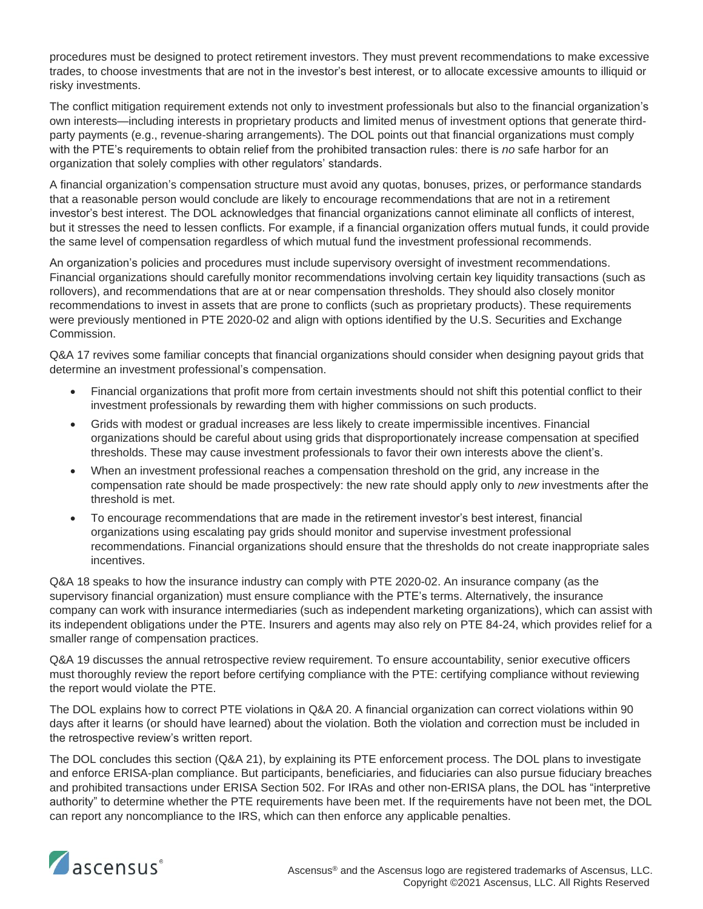procedures must be designed to protect retirement investors. They must prevent recommendations to make excessive trades, to choose investments that are not in the investor's best interest, or to allocate excessive amounts to illiquid or risky investments.

The conflict mitigation requirement extends not only to investment professionals but also to the financial organization's own interests—including interests in proprietary products and limited menus of investment options that generate thirdparty payments (e.g., revenue-sharing arrangements). The DOL points out that financial organizations must comply with the PTE's requirements to obtain relief from the prohibited transaction rules: there is *no* safe harbor for an organization that solely complies with other regulators' standards.

A financial organization's compensation structure must avoid any quotas, bonuses, prizes, or performance standards that a reasonable person would conclude are likely to encourage recommendations that are not in a retirement investor's best interest. The DOL acknowledges that financial organizations cannot eliminate all conflicts of interest, but it stresses the need to lessen conflicts. For example, if a financial organization offers mutual funds, it could provide the same level of compensation regardless of which mutual fund the investment professional recommends.

An organization's policies and procedures must include supervisory oversight of investment recommendations. Financial organizations should carefully monitor recommendations involving certain key liquidity transactions (such as rollovers), and recommendations that are at or near compensation thresholds. They should also closely monitor recommendations to invest in assets that are prone to conflicts (such as proprietary products). These requirements were previously mentioned in PTE 2020-02 and align with options identified by the U.S. Securities and Exchange Commission.

Q&A 17 revives some familiar concepts that financial organizations should consider when designing payout grids that determine an investment professional's compensation.

- Financial organizations that profit more from certain investments should not shift this potential conflict to their investment professionals by rewarding them with higher commissions on such products.
- Grids with modest or gradual increases are less likely to create impermissible incentives. Financial organizations should be careful about using grids that disproportionately increase compensation at specified thresholds. These may cause investment professionals to favor their own interests above the client's.
- When an investment professional reaches a compensation threshold on the grid, any increase in the compensation rate should be made prospectively: the new rate should apply only to *new* investments after the threshold is met.
- To encourage recommendations that are made in the retirement investor's best interest, financial organizations using escalating pay grids should monitor and supervise investment professional recommendations. Financial organizations should ensure that the thresholds do not create inappropriate sales incentives.

Q&A 18 speaks to how the insurance industry can comply with PTE 2020-02. An insurance company (as the supervisory financial organization) must ensure compliance with the PTE's terms. Alternatively, the insurance company can work with insurance intermediaries (such as independent marketing organizations), which can assist with its independent obligations under the PTE. Insurers and agents may also rely on PTE 84-24, which provides relief for a smaller range of compensation practices.

Q&A 19 discusses the annual retrospective review requirement. To ensure accountability, senior executive officers must thoroughly review the report before certifying compliance with the PTE: certifying compliance without reviewing the report would violate the PTE.

The DOL explains how to correct PTE violations in Q&A 20. A financial organization can correct violations within 90 days after it learns (or should have learned) about the violation. Both the violation and correction must be included in the retrospective review's written report.

The DOL concludes this section (Q&A 21), by explaining its PTE enforcement process. The DOL plans to investigate and enforce ERISA-plan compliance. But participants, beneficiaries, and fiduciaries can also pursue fiduciary breaches and prohibited transactions under ERISA Section 502. For IRAs and other non-ERISA plans, the DOL has "interpretive authority" to determine whether the PTE requirements have been met. If the requirements have not been met, the DOL can report any noncompliance to the IRS, which can then enforce any applicable penalties.